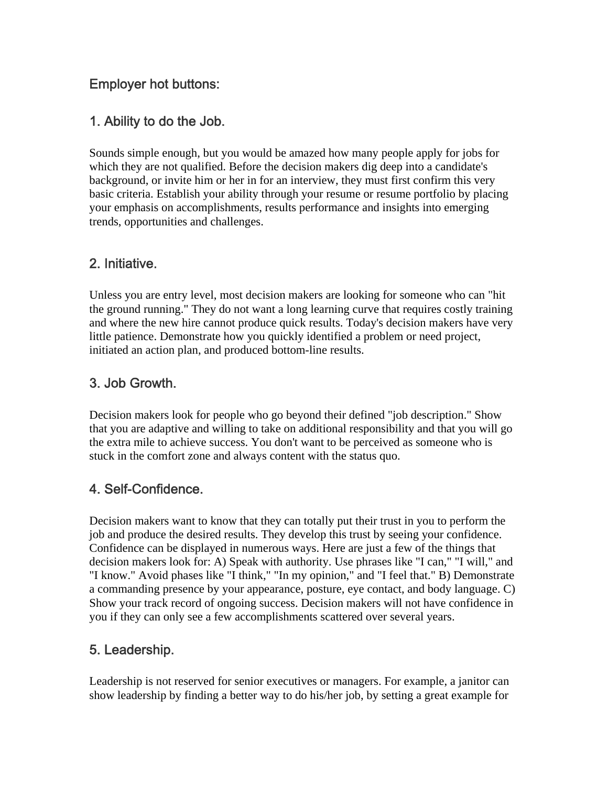### Employer hot buttons:

### 1. Ability to do the Job.

Sounds simple enough, but you would be amazed how many people apply for jobs for which they are not qualified. Before the decision makers dig deep into a candidate's background, or invite him or her in for an interview, they must first confirm this very basic criteria. Establish your ability through your resume or resume portfolio by placing your emphasis on accomplishments, results performance and insights into emerging trends, opportunities and challenges.

### 2. Initiative.

Unless you are entry level, most decision makers are looking for someone who can "hit the ground running." They do not want a long learning curve that requires costly training and where the new hire cannot produce quick results. Today's decision makers have very little patience. Demonstrate how you quickly identified a problem or need project, initiated an action plan, and produced bottom-line results.

### 3. Job Growth.

Decision makers look for people who go beyond their defined "job description." Show that you are adaptive and willing to take on additional responsibility and that you will go the extra mile to achieve success. You don't want to be perceived as someone who is stuck in the comfort zone and always content with the status quo.

### 4. Self-Confidence.

Decision makers want to know that they can totally put their trust in you to perform the job and produce the desired results. They develop this trust by seeing your confidence. Confidence can be displayed in numerous ways. Here are just a few of the things that decision makers look for: A) Speak with authority. Use phrases like "I can," "I will," and "I know." Avoid phases like "I think," "In my opinion," and "I feel that." B) Demonstrate a commanding presence by your appearance, posture, eye contact, and body language. C) Show your track record of ongoing success. Decision makers will not have confidence in you if they can only see a few accomplishments scattered over several years.

### 5. Leadership.

Leadership is not reserved for senior executives or managers. For example, a janitor can show leadership by finding a better way to do his/her job, by setting a great example for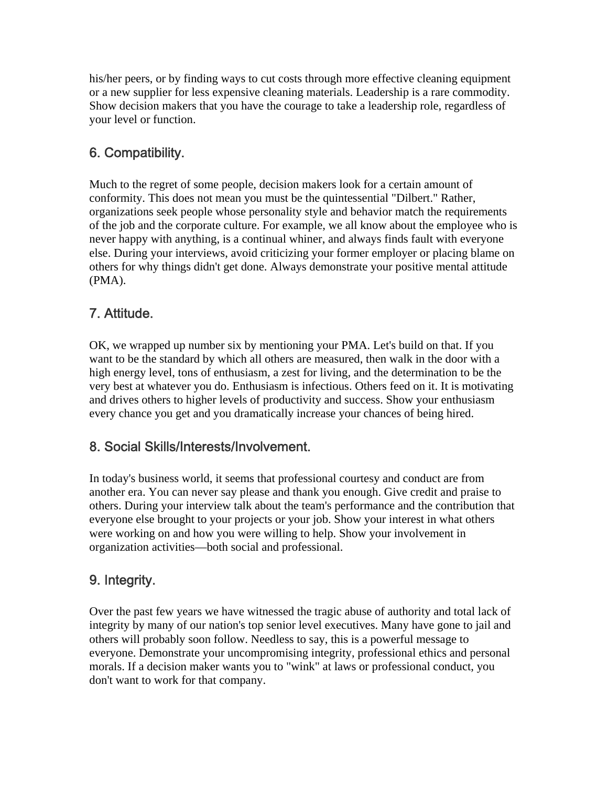his/her peers, or by finding ways to cut costs through more effective cleaning equipment or a new supplier for less expensive cleaning materials. Leadership is a rare commodity. Show decision makers that you have the courage to take a leadership role, regardless of your level or function.

# 6. Compatibility.

Much to the regret of some people, decision makers look for a certain amount of conformity. This does not mean you must be the quintessential "Dilbert." Rather, organizations seek people whose personality style and behavior match the requirements of the job and the corporate culture. For example, we all know about the employee who is never happy with anything, is a continual whiner, and always finds fault with everyone else. During your interviews, avoid criticizing your former employer or placing blame on others for why things didn't get done. Always demonstrate your positive mental attitude (PMA).

## 7. Attitude.

OK, we wrapped up number six by mentioning your PMA. Let's build on that. If you want to be the standard by which all others are measured, then walk in the door with a high energy level, tons of enthusiasm, a zest for living, and the determination to be the very best at whatever you do. Enthusiasm is infectious. Others feed on it. It is motivating and drives others to higher levels of productivity and success. Show your enthusiasm every chance you get and you dramatically increase your chances of being hired.

### 8. Social Skills/Interests/Involvement.

In today's business world, it seems that professional courtesy and conduct are from another era. You can never say please and thank you enough. Give credit and praise to others. During your interview talk about the team's performance and the contribution that everyone else brought to your projects or your job. Show your interest in what others were working on and how you were willing to help. Show your involvement in organization activities—both social and professional.

# 9. Integrity.

Over the past few years we have witnessed the tragic abuse of authority and total lack of integrity by many of our nation's top senior level executives. Many have gone to jail and others will probably soon follow. Needless to say, this is a powerful message to everyone. Demonstrate your uncompromising integrity, professional ethics and personal morals. If a decision maker wants you to "wink" at laws or professional conduct, you don't want to work for that company.